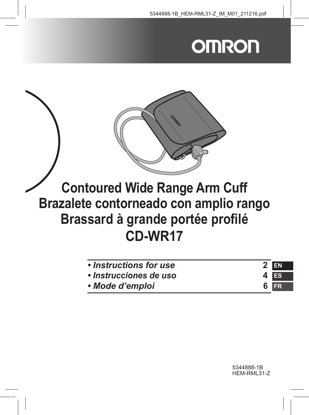# **OMRON**



# **Contoured Wide Range Arm Cuff Brazalete contorneado con amplio rango Brassard à grande portée profilé CD-WR17**

| • Instructions for use | $2$ EN |
|------------------------|--------|
| · Instrucciones de uso | 4 Es   |
| • Mode d'emploi        | 6 FR   |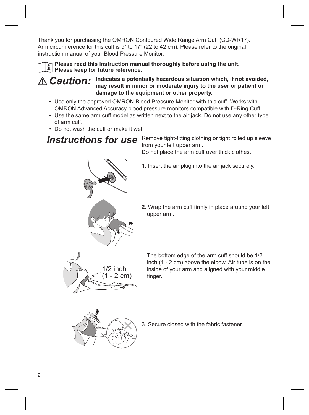Thank you for purchasing the OMRON Contoured Wide Range Arm Cuff (CD-WR17). Arm circumference for this cuff is 9" to 17" (22 to 42 cm). Please refer to the original instruction manual of your Blood Pressure Monitor.

**Please read this instruction manual thoroughly before using the unit. Please keep for future reference.** 

*Caution:* **Indicates a potentially hazardous situation which, if not avoided, may result in minor or moderate injury to the user or patient or damage to the equipment or other property.**

- Use only the approved OMRON Blood Pressure Monitor with this cuff. Works with OMRON Advanced Accuracy blood pressure monitors compatible with D-Ring Cuff.
- Use the same arm cuff model as written next to the air jack. Do not use any other type of arm cuff.
- Do not wash the cuff or make it wet.

*Instructions for use* Remove tight-fitting clothing or tight rolled up sleeve from your left upper arm.

Do not place the arm cuff over thick clothes.



- **1.** Insert the air plug into the air jack securely.
- **2.** Wrap the arm cuff firmly in place around your left upper arm.

The bottom edge of the arm cuff should be 1/2 inch (1 - 2 cm) above the elbow. Air tube is on the inside of your arm and aligned with your middle finger.



3. Secure closed with the fabric fastener.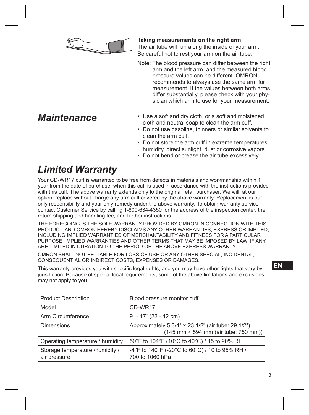

#### *Maintenance*

#### **Taking measurements on the right arm**

The air tube will run along the inside of your arm. Be careful not to rest your arm on the air tube.

- Note: The blood pressure can differ between the right arm and the left arm, and the measured blood pressure values can be different. OMRON recommends to always use the same arm for measurement. If the values between both arms differ substantially, please check with your physician which arm to use for your measurement.
- Use a soft and dry cloth, or a soft and moistened cloth and neutral soap to clean the arm cuff.
- Do not use gasoline, thinners or similar solvents to clean the arm cuff.
- Do not store the arm cuff in extreme temperatures, humidity, direct sunlight, dust or corrosive vapors.
- Do not bend or crease the air tube excessively.

## *Limited Warranty*

Your CD-WR17 cuff is warranted to be free from defects in materials and workmanship within 1 year from the date of purchase, when this cuff is used in accordance with the instructions provided with this cuff. The above warranty extends only to the original retail purchaser. We will, at our option, replace without charge any arm cuff covered by the above warranty. Replacement is our only responsibility and your only remedy under the above warranty. To obtain warranty service contact Customer Service by calling 1-800-634-4350 for the address of the inspection center, the return shipping and handling fee, and further instructions.

THE FOREGOING IS THE SOLE WARRANTY PROVIDED BY OMRON IN CONNECTION WITH THIS PRODUCT, AND OMRON HEREBY DISCLAIMS ANY OTHER WARRANTIES, EXPRESS OR IMPLIED, INCLUDING IMPLIED WARRANTIES OF MERCHANTABILITY AND FITNESS FOR A PARTICULAR PURPOSE. IMPLIED WARRANTIES AND OTHER TERMS THAT MAY BE IMPOSED BY LAW, IF ANY, ARE LIMITED IN DURATION TO THE PERIOD OF THE ABOVE EXPRESS WARRANTY.

OMRON SHALL NOT BE LIABLE FOR LOSS OF USE OR ANY OTHER SPECIAL, INCIDENTAL, CONSEQUENTIAL OR INDIRECT COSTS, EXPENSES OR DAMAGES.

This warranty provides you with specific legal rights, and you may have other rights that vary by jurisdiction. Because of special local requirements, some of the above limitations and exclusions may not apply to you.

| <b>Product Description</b>                      | Blood pressure monitor cuff                                                                                                        |
|-------------------------------------------------|------------------------------------------------------------------------------------------------------------------------------------|
| Model                                           | CD-WR17                                                                                                                            |
| Arm Circumference                               | $9^{\circ}$ - 17 $^{\circ}$ (22 - 42 cm)                                                                                           |
| <b>Dimensions</b>                               | Approximately 5 3/4" × 23 1/2" (air tube: 29 1/2")<br>$(145 \text{ mm} \times 594 \text{ mm} \text{ (air tube: } 750 \text{ mm}))$ |
| Operating temperature / humidity                | 50°F to 104°F (10°C to 40°C) / 15 to 90% RH                                                                                        |
| Storage temperature /humidity /<br>air pressure | -4°F to 140°F (-20°C to 60°C) / 10 to 95% RH /<br>700 to 1060 hPa                                                                  |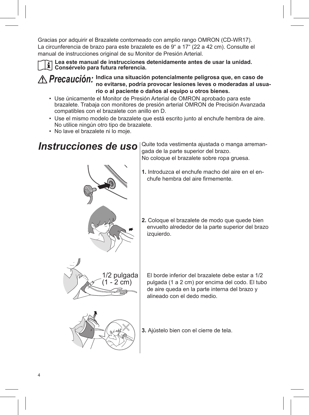Gracias por adquirir el Brazalete contorneado con amplio rango OMRON (CD-WR17). La circunferencia de brazo para este brazalete es de 9" a 17" (22 a 42 cm). Consulte el manual de instrucciones original de su Monitor de Presión Arterial.

**Lea este manual de instrucciones detenidamente antes de usar la unidad. Consérvelo para futura referencia.**

*Precaución:* **Indica una situación potencialmente peligrosa que, en caso de no evitarse, podría provocar lesiones leves o moderadas al usuario o al paciente o daños al equipo u otros bienes.**

- Use únicamente el Monitor de Presión Arterial de OMRON aprobado para este brazalete. Trabaja con monitores de presión arterial OMRON de Precisión Avanzada compatibles con el brazalete con anillo en D.
- Use el mismo modelo de brazalete que está escrito junto al enchufe hembra de aire. No utilice ningún otro tipo de brazalete.
- No lave el brazalete ni lo moje.





*Instrucciones de uso* | Quite toda vestimenta ajustada o manga arremangada de la parte superior del brazo. No coloque el brazalete sobre ropa gruesa.

- **1.** Introduzca el enchufe macho del aire en el enchufe hembra del aire firmemente.
- **2.** Coloque el brazalete de modo que quede bien envuelto alrededor de la parte superior del brazo izquierdo.

El borde inferior del brazalete debe estar a 1/2 pulgada (1 a 2 cm) por encima del codo. El tubo de aire queda en la parte interna del brazo y alineado con el dedo medio.

**3.** Ajústelo bien con el cierre de tela.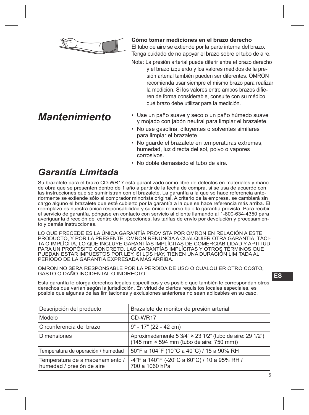

### *Mantenimiento*

**Cómo tomar mediciones en el brazo derecho**

El tubo de aire se extiende por la parte interna del brazo. Tenga cuidado de no apoyar el brazo sobre el tubo de aire.

- Nota: La presión arterial puede diferir entre el brazo derecho y el brazo izquierdo y los valores medidos de la presión arterial también pueden ser diferentes. OMRON recomienda usar siempre el mismo brazo para realizar la medición. Si los valores entre ambos brazos difieren de forma considerable, consulte con su médico qué brazo debe utilizar para la medición.
- Use un paño suave y seco o un paño húmedo suave y mojado con jabón neutral para limpiar el brazalete.
- No use gasolina, diluyentes o solventes similares para limpiar el brazalete.
- No guarde el brazalete en temperaturas extremas, humedad, luz directa del sol, polvo o vapores corrosivos.
- No doble demasiado el tubo de aire.

### *Garantía Limitada*

Su brazalete para el brazo CD-WR17 está garantizado como libre de defectos en materiales y mano de obra que se presenten dentro de 1 año a partir de la fecha de compra, si se usa de acuerdo con las instrucciones que se suministran con el brazalete. La garantía a la que se hace referencia anteriormente se extiende sólo al comprador minorista original. A criterio de la empresa, se cambiará sin cargo alguno el brazalete que esté cubierto por la garantía a la que se hace referencia más arriba. El reemplazo es nuestra única responsabilidad y su único recurso bajo la garantía provista. Para recibir el servicio de garantía, póngase en contacto con servicio al cliente llamando al 1-800-634-4350 para averiguar la dirección del centro de inspecciones, las tarifas de envío por devolución y procesamiento y demás instrucciones.

LO QUE PRECEDE ES LA ÚNICA GARANTÍA PROVISTA POR OMRON EN RELACIÓN A ESTE PRODUCTO, Y POR LA PRESENTE, OMRON RENUNCIA A CUALQUIER OTRA GARANTÍA, TÁCI-TA O IMPLÍCITA, LO QUE INCLUYE GARANTÍAS IMPLÍCITAS DE COMERCIABILIDAD Y APTITUD PARA UN PROPÓSITO CONCRETO. LAS GARANTÍAS IMPLÍCITAS Y OTROS TÉRMINOS QUE PUEDAN ESTAR IMPUESTOS POR LEY, SI LOS HAY, TIENEN UNA DURACIÓN LIMITADA AL PERÍODO DE LA GARANTÍA EXPRESADA MÁS ARRIBA.

OMRON NO SERÁ RESPONSABLE POR LA PÉRDIDA DE USO O CUALQUIER OTRO COSTO, GASTO O DAÑO INCIDENTAL O INDIRECTO.

Esta garantía le otorga derechos legales específicos y es posible que también le correspondan otros derechos que varían según la jurisdicción. En virtud de ciertos requisitos locales especiales, es posible que algunas de las limitaciones y exclusiones anteriores no sean aplicables en su caso.

| Descripción del producto                                     | Brazalete de monitor de presión arterial                                                             |
|--------------------------------------------------------------|------------------------------------------------------------------------------------------------------|
| Modelo                                                       | CD-WR17                                                                                              |
| Circunferencia del brazo                                     | 9" - 17" (22 - 42 cm)                                                                                |
| Dimensiones                                                  | Aproximadamente 5 3/4" × 23 1/2" (tubo de aire: 29 1/2")<br>(145 mm × 594 mm (tubo de aire: 750 mm)) |
| Temperatura de operación / humedad                           | 50°F a 104°F (10°C a 40°C) / 15 a 90% RH                                                             |
| Temperatura de almacenamiento /<br>humedad / presión de aire | -4°F a 140°F (-20°C a 60°C) / 10 a 95% RH /<br>700 a 1060 hPa                                        |

**ES**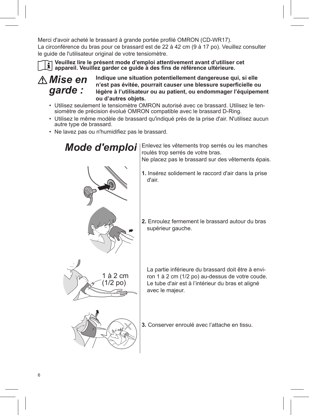Merci d'avoir acheté le brassard à grande portée profilé OMRON (CD-WR17). La circonférence du bras pour ce brassard est de 22 à 42 cm (9 à 17 po). Veuillez consulter le guide de l'utilisateur original de votre tensiomètre.

**Veuillez lire le présent mode d'emploi attentivement avant d'utiliser cet appareil. Veuillez garder ce guide à des fins de référence ultérieure.**

*Mise en garde :*

**Indique une situation potentiellement dangereuse qui, si elle n'est pas évitée, pourrait causer une blessure superficielle ou légère à l'utilisateur ou au patient, ou endommager l'équipement ou d'autres objets.**

- Utilisez seulement le tensiomètre OMRON autorisé avec ce brassard. Utilisez le ten- siomètre de précision évolué OMRON compatible avec le brassard D-Ring.
- Utilisez le même modèle de brassard qu'indiqué près de la prise d'air. N'utilisez aucun autre type de brassard.
- Ne lavez pas ou n'humidifiez pas le brassard.

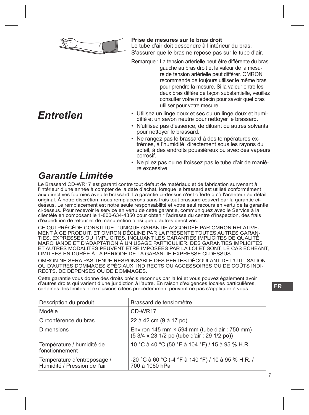

## *Entretien*

#### **Prise de mesures sur le bras droit**

Le tube d'air doit descendre à l'intérieur du bras.

S'assurer que le bras ne repose pas sur le tube d'air.

Remarque : La tension artérielle peut être différente du bras gauche au bras droit et la valeur de la mesure de tension artérielle peut différer. OMRON recommande de toujours utiliser le même bras pour prendre la mesure. Si la valeur entre les deux bras diffère de façon substantielle, veuillez consulter votre médecin pour savoir quel bras utiliser pour votre mesure.

- Utilisez un linge doux et sec ou un linge doux et humidifié et un savon neutre pour nettoyer le brassard.
- N'utilisez pas d'essence, de diluant ou autres solvants pour nettoyer le brassard.
- Ne rangez pas le brassard à des températures extrêmes, à l'humidité, directement sous les rayons du soleil, à des endroits poussiéreux ou avec des vapeurs corrosif.
- Ne pliez pas ou ne froissez pas le tube d'air de manière excessive.

#### *Garantie Limitée*

Le Brassard CD-WR17 est garanti contre tout défaut de matériaux et de fabrication survenant à l'intérieur d'une année à compter de la date d'achat, lorsque le brassard est utilisé conformément aux directives fournies avec le brassard. La garantie ci-dessus n'est offerte qu'à l'acheteur au détail original. À notre discrétion, nous remplacerons sans frais tout brassard couvert par la garantie cidessus. Le remplacement est notre seule responsabilité et votre seul recours en vertu de la garantie ci-dessus. Pour recevoir le service en vertu de cette garantie, communiquez avec le Service à la clientèle en composant le 1-800-634-4350 pour obtenir l'adresse du centre d'inspection, des frais d'expédition de retour et de manutention ainsi que d'autres directives.

CE QUI PRÉCÈDE CONSTITUE L'UNIQUE GARANTIE ACCORDÉE PAR OMRON RELATIVE-MENT À CE PRODUIT, ET OMRON DÉCLINE PAR LA PRÉSENTE TOUTES AUTRES GARAN-TIES, EXPRESSES OU IMPLICITES, INCLUANT LES GARANTIES IMPLICITES DE QUALITÉ MARCHANDE ET D'ADAPTATION À UN USAGE PARTICULIER. DES GARANTIES IMPLICITES ET AUTRES MODALITÉS PEUVENT ÊTRE IMPOSÉES PAR LA LOI ET SONT, LE CAS ÉCHÉANT, LIMITÉES EN DURÉE À LA PÉRIODE DE LA GARANTIE EXPRESSE CI-DESSUS.

OMRON NE SERA PAS TENUE RESPONSABLE DES PERTES DÉCOULANT DE L'UTILISATION OU D'AUTRES DOMMAGES SPÉCIAUX, INDIRECTS OU ACCESSOIRES OU DE COÛTS INDI-RECTS, DE DÉPENSES OU DE DOMMAGES.

Cette garantie vous donne des droits précis reconnus par la loi et vous pouvez également avoir d'autres droits qui varient d'une juridiction à l'autre. En raison d'exigences locales particulières, certaines des limites et exclusions citées précédemment peuvent ne pas s'appliquer à vous.

| Description du produit                                      | Brassard de tensiomètre                                                                              |
|-------------------------------------------------------------|------------------------------------------------------------------------------------------------------|
| Modèle                                                      | CD-WR17                                                                                              |
| Circonférence du bras                                       | 22 à 42 cm (9 à 17 po)                                                                               |
| Dimensions                                                  | Environ 145 mm $\times$ 594 mm (tube d'air : 750 mm)<br>(5 3/4 x 23 1/2 po (tube d'air : 29 1/2 po)) |
| Température / humidité de<br>fonctionnement                 | 10 °C à 40 °C (50 °F à 104 °F) / 15 à 95 % H.R.                                                      |
| Température d'entreposage /<br>Humidité / Pression de l'air | -20 °C à 60 °C (-4 °F à 140 °F) / 10 à 95 % H.R. /<br>700 à 1060 hPa                                 |

**FR**